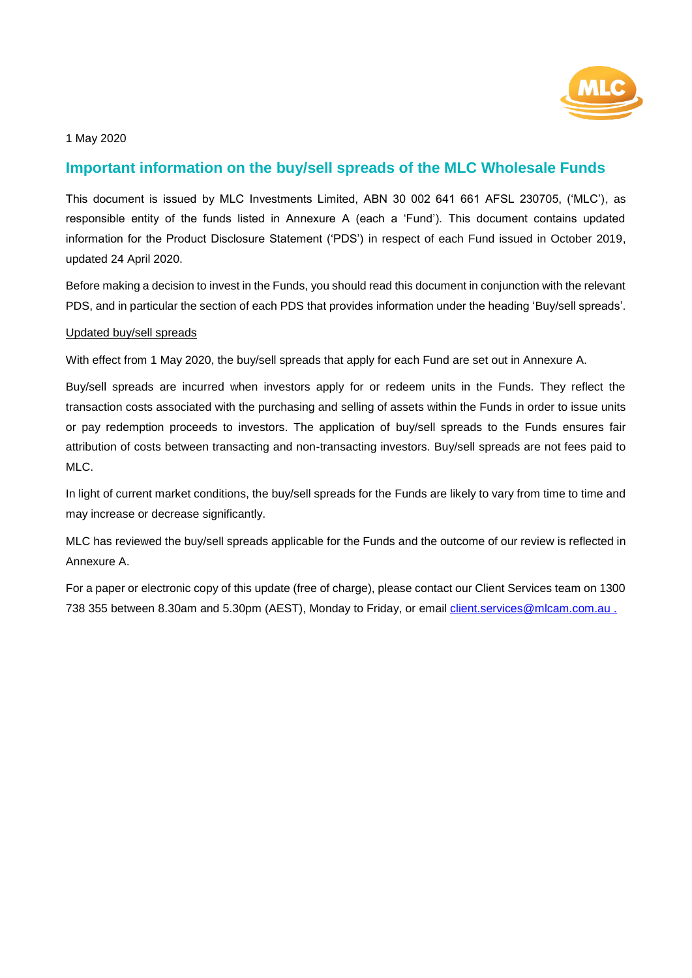

# **Important information on the buy/sell spreads of the MLC Wholesale Funds**

This document is issued by MLC Investments Limited, ABN 30 002 641 661 AFSL 230705, ('MLC'), as responsible entity of the funds listed in Annexure A (each a 'Fund'). This document contains updated information for the Product Disclosure Statement ('PDS') in respect of each Fund issued in October 2019, updated 24 April 2020.

Before making a decision to invest in the Funds, you should read this document in conjunction with the relevant PDS, and in particular the section of each PDS that provides information under the heading 'Buy/sell spreads'.

#### Updated buy/sell spreads

With effect from 1 May 2020, the buy/sell spreads that apply for each Fund are set out in Annexure A.

Buy/sell spreads are incurred when investors apply for or redeem units in the Funds. They reflect the transaction costs associated with the purchasing and selling of assets within the Funds in order to issue units or pay redemption proceeds to investors. The application of buy/sell spreads to the Funds ensures fair attribution of costs between transacting and non-transacting investors. Buy/sell spreads are not fees paid to MLC.

In light of current market conditions, the buy/sell spreads for the Funds are likely to vary from time to time and may increase or decrease significantly.

MLC has reviewed the buy/sell spreads applicable for the Funds and the outcome of our review is reflected in Annexure A.

For a paper or electronic copy of this update (free of charge), please contact our Client Services team on 1300 738 355 between 8.30am and 5.30pm (AEST), Monday to Friday, or email client.services@mlcam.com.au.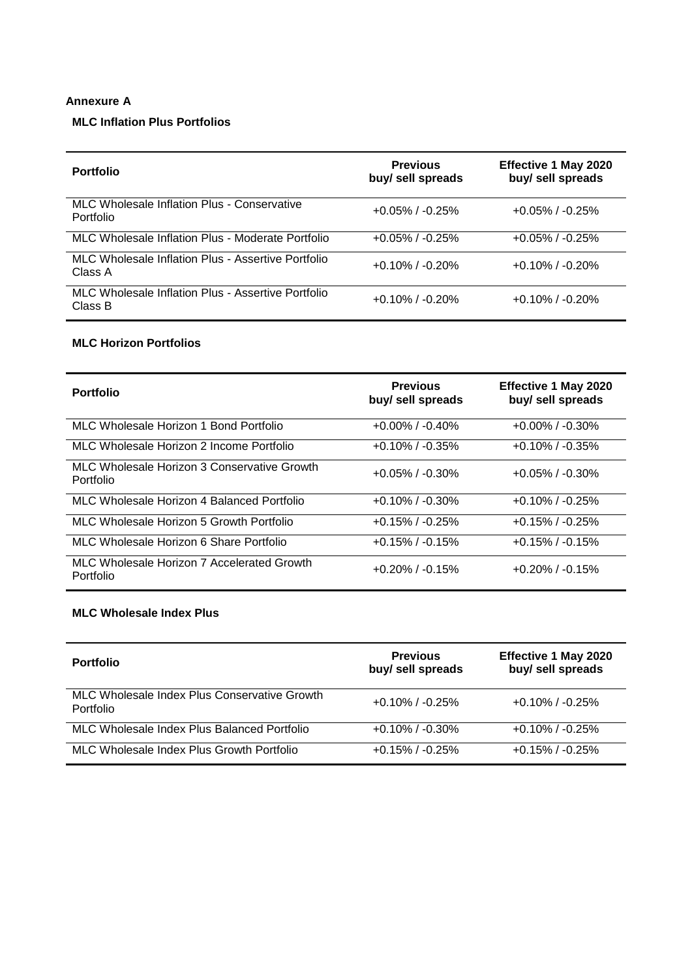#### **Annexure A**

## **MLC Inflation Plus Portfolios**

| <b>Portfolio</b>                                              | <b>Previous</b><br>buy/ sell spreads | <b>Effective 1 May 2020</b><br>buy/ sell spreads |
|---------------------------------------------------------------|--------------------------------------|--------------------------------------------------|
| MLC Wholesale Inflation Plus - Conservative<br>Portfolio      | $+0.05\%$ / $-0.25\%$                | $+0.05\%$ / $-0.25\%$                            |
| MLC Wholesale Inflation Plus - Moderate Portfolio             | $+0.05\%$ / $-0.25\%$                | $+0.05\%$ / $-0.25\%$                            |
| MLC Wholesale Inflation Plus - Assertive Portfolio<br>Class A | $+0.10\%$ / $-0.20\%$                | $+0.10\%$ / $-0.20\%$                            |
| MLC Wholesale Inflation Plus - Assertive Portfolio<br>Class B | $+0.10\%$ / $-0.20\%$                | $+0.10\%$ / $-0.20\%$                            |

#### **MLC Horizon Portfolios**

| <b>Portfolio</b>                                         | <b>Previous</b><br>buy/ sell spreads | <b>Effective 1 May 2020</b><br>buy/ sell spreads |
|----------------------------------------------------------|--------------------------------------|--------------------------------------------------|
| MLC Wholesale Horizon 1 Bond Portfolio                   | $+0.00\%$ / $-0.40\%$                | $+0.00\%$ / $-0.30\%$                            |
| MLC Wholesale Horizon 2 Income Portfolio                 | $+0.10\%$ / $-0.35\%$                | $+0.10\%$ / $-0.35\%$                            |
| MLC Wholesale Horizon 3 Conservative Growth<br>Portfolio | $+0.05\%$ / $-0.30\%$                | $+0.05\%$ / $-0.30\%$                            |
| MLC Wholesale Horizon 4 Balanced Portfolio               | $+0.10\%$ / $-0.30\%$                | $+0.10\%$ / $-0.25\%$                            |
| MLC Wholesale Horizon 5 Growth Portfolio                 | $+0.15\%$ / $-0.25\%$                | $+0.15\%$ / $-0.25\%$                            |
| MLC Wholesale Horizon 6 Share Portfolio                  | $+0.15\%$ / $-0.15\%$                | $+0.15\%$ / $-0.15\%$                            |
| MLC Wholesale Horizon 7 Accelerated Growth<br>Portfolio  | $+0.20\%$ / $-0.15\%$                | $+0.20\%$ / $-0.15\%$                            |

#### **MLC Wholesale Index Plus**

| <b>Portfolio</b>                                          | <b>Previous</b><br>buy/ sell spreads | <b>Effective 1 May 2020</b><br>buy/ sell spreads |
|-----------------------------------------------------------|--------------------------------------|--------------------------------------------------|
| MLC Wholesale Index Plus Conservative Growth<br>Portfolio | $+0.10\%$ / $-0.25\%$                | $+0.10\%$ / $-0.25\%$                            |
| MLC Wholesale Index Plus Balanced Portfolio               | $+0.10\%$ / $-0.30\%$                | $+0.10\%$ / $-0.25\%$                            |
| MLC Wholesale Index Plus Growth Portfolio                 | $+0.15\%$ / $-0.25\%$                | $+0.15\%$ / $-0.25\%$                            |